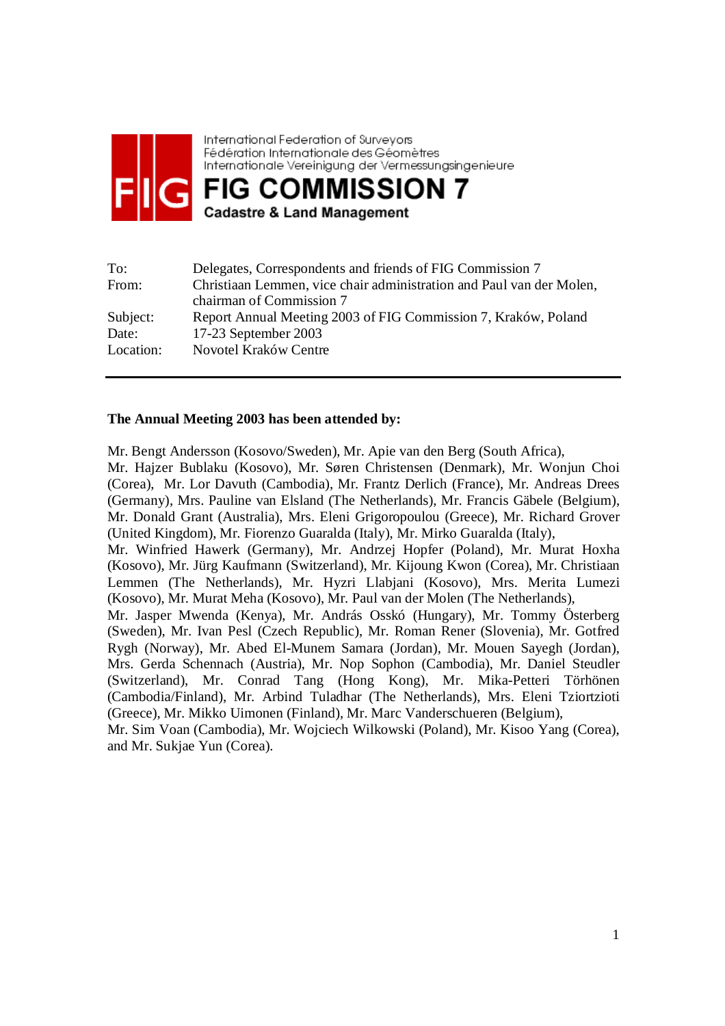

International Federation of Surveyors Fédération Internationale des Géomètres Internationale Vereinigung der Vermessungsingenieure **FIG COMMISSION 7** 

**Cadastre & Land Management** 

| To:       | Delegates, Correspondents and friends of FIG Commission 7            |
|-----------|----------------------------------------------------------------------|
| From:     | Christiaan Lemmen, vice chair administration and Paul van der Molen, |
|           | chairman of Commission 7                                             |
| Subject:  | Report Annual Meeting 2003 of FIG Commission 7, Kraków, Poland       |
| Date:     | 17-23 September 2003                                                 |
| Location: | Novotel Kraków Centre                                                |

### **The Annual Meeting 2003 has been attended by:**

Mr. Bengt Andersson (Kosovo/Sweden), Mr. Apie van den Berg (South Africa), Mr. Hajzer Bublaku (Kosovo), Mr. Søren Christensen (Denmark), Mr. Wonjun Choi (Corea), Mr. Lor Davuth (Cambodia), Mr. Frantz Derlich (France), Mr. Andreas Drees (Germany), Mrs. Pauline van Elsland (The Netherlands), Mr. Francis Gäbele (Belgium), Mr. Donald Grant (Australia), Mrs. Eleni Grigoropoulou (Greece), Mr. Richard Grover (United Kingdom), Mr. Fiorenzo Guaralda (Italy), Mr. Mirko Guaralda (Italy), Mr. Winfried Hawerk (Germany), Mr. Andrzej Hopfer (Poland), Mr. Murat Hoxha (Kosovo), Mr. Jürg Kaufmann (Switzerland), Mr. Kijoung Kwon (Corea), Mr. Christiaan Lemmen (The Netherlands), Mr. Hyzri Llabjani (Kosovo), Mrs. Merita Lumezi (Kosovo), Mr. Murat Meha (Kosovo), Mr. Paul van der Molen (The Netherlands), Mr. Jasper Mwenda (Kenya), Mr. András Osskó (Hungary), Mr. Tommy Österberg (Sweden), Mr. Ivan Pesl (Czech Republic), Mr. Roman Rener (Slovenia), Mr. Gotfred Rygh (Norway), Mr. Abed El-Munem Samara (Jordan), Mr. Mouen Sayegh (Jordan), Mrs. Gerda Schennach (Austria), Mr. Nop Sophon (Cambodia), Mr. Daniel Steudler

(Switzerland), Mr. Conrad Tang (Hong Kong), Mr. Mika-Petteri Törhönen (Cambodia/Finland), Mr. Arbind Tuladhar (The Netherlands), Mrs. Eleni Tziortzioti (Greece), Mr. Mikko Uimonen (Finland), Mr. Marc Vanderschueren (Belgium),

Mr. Sim Voan (Cambodia), Mr. Wojciech Wilkowski (Poland), Mr. Kisoo Yang (Corea), and Mr. Sukjae Yun (Corea).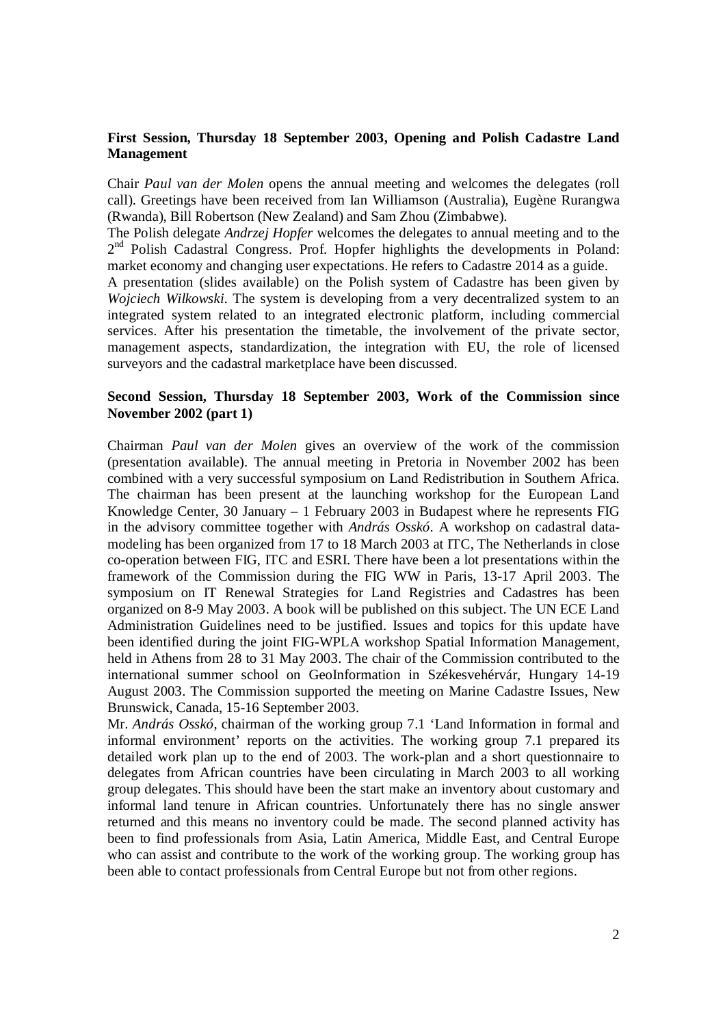## **First Session, Thursday 18 September 2003, Opening and Polish Cadastre Land Management**

Chair *Paul van der Molen* opens the annual meeting and welcomes the delegates (roll call). Greetings have been received from Ian Williamson (Australia), Eugène Rurangwa (Rwanda), Bill Robertson (New Zealand) and Sam Zhou (Zimbabwe).

The Polish delegate *Andrzej Hopfer* welcomes the delegates to annual meeting and to the  $2<sup>nd</sup>$  Polish Cadastral Congress. Prof. Hopfer highlights the developments in Poland: market economy and changing user expectations. He refers to Cadastre 2014 as a guide.

A presentation (slides available) on the Polish system of Cadastre has been given by *Wojciech Wilkowski.* The system is developing from a very decentralized system to an integrated system related to an integrated electronic platform, including commercial services. After his presentation the timetable, the involvement of the private sector, management aspects, standardization, the integration with EU, the role of licensed surveyors and the cadastral marketplace have been discussed.

# **Second Session, Thursday 18 September 2003, Work of the Commission since November 2002 (part 1)**

Chairman *Paul van der Molen* gives an overview of the work of the commission (presentation available). The annual meeting in Pretoria in November 2002 has been combined with a very successful symposium on Land Redistribution in Southern Africa. The chairman has been present at the launching workshop for the European Land Knowledge Center, 30 January – 1 February 2003 in Budapest where he represents FIG in the advisory committee together with *András Osskó*. A workshop on cadastral datamodeling has been organized from 17 to 18 March 2003 at ITC, The Netherlands in close co-operation between FIG, ITC and ESRI. There have been a lot presentations within the framework of the Commission during the FIG WW in Paris, 13-17 April 2003. The symposium on IT Renewal Strategies for Land Registries and Cadastres has been organized on 8-9 May 2003. A book will be published on this subject. The UN ECE Land Administration Guidelines need to be justified. Issues and topics for this update have been identified during the joint FIG-WPLA workshop Spatial Information Management, held in Athens from 28 to 31 May 2003. The chair of the Commission contributed to the international summer school on GeoInformation in Székesvehérvár, Hungary 14-19 August 2003. The Commission supported the meeting on Marine Cadastre Issues, New Brunswick, Canada, 15-16 September 2003.

Mr. *András Osskó*, chairman of the working group 7.1 'Land Information in formal and informal environment' reports on the activities. The working group 7.1 prepared its detailed work plan up to the end of 2003. The work-plan and a short questionnaire to delegates from African countries have been circulating in March 2003 to all working group delegates. This should have been the start make an inventory about customary and informal land tenure in African countries. Unfortunately there has no single answer returned and this means no inventory could be made. The second planned activity has been to find professionals from Asia, Latin America, Middle East, and Central Europe who can assist and contribute to the work of the working group. The working group has been able to contact professionals from Central Europe but not from other regions.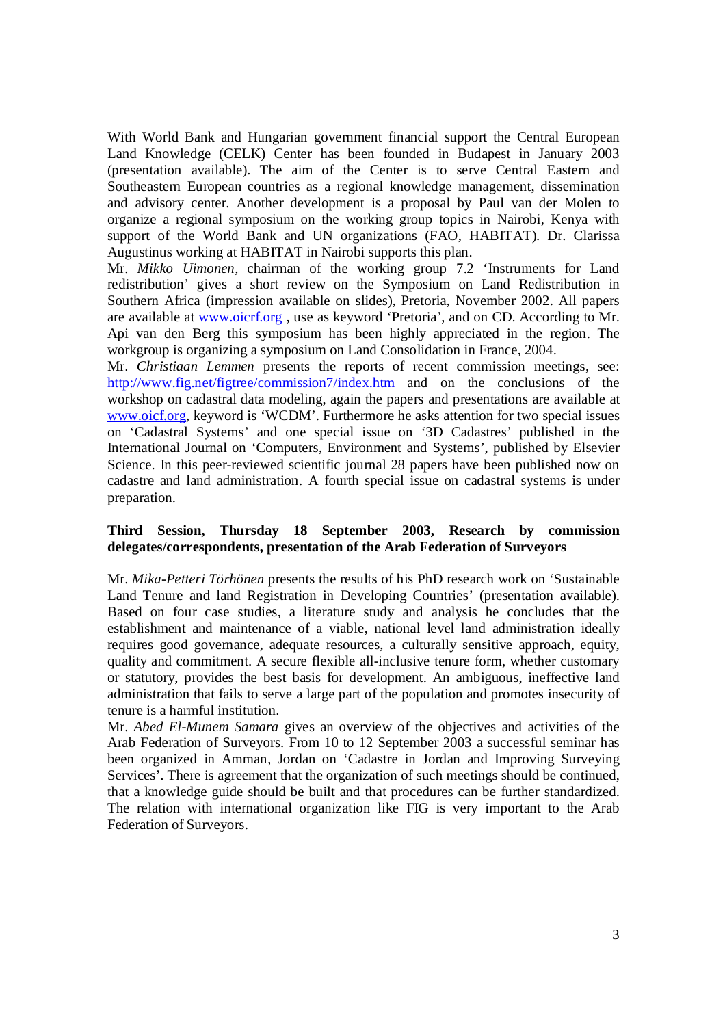With World Bank and Hungarian government financial support the Central European Land Knowledge (CELK) Center has been founded in Budapest in January 2003 (presentation available). The aim of the Center is to serve Central Eastern and Southeastern European countries as a regional knowledge management, dissemination and advisory center. Another development is a proposal by Paul van der Molen to organize a regional symposium on the working group topics in Nairobi, Kenya with support of the World Bank and UN organizations (FAO, HABITAT). Dr. Clarissa Augustinus working at HABITAT in Nairobi supports this plan.

Mr. *Mikko Uimonen,* chairman of the working group 7.2 'Instruments for Land redistribution' gives a short review on the Symposium on Land Redistribution in Southern Africa (impression available on slides), Pretoria, November 2002. All papers are available at www.oicrf.org , use as keyword 'Pretoria', and on CD. According to Mr. Api van den Berg this symposium has been highly appreciated in the region. The workgroup is organizing a symposium on Land Consolidation in France, 2004.

Mr. *Christiaan Lemmen* presents the reports of recent commission meetings, see: http://www.fig.net/figtree/commission7/index.htm and on the conclusions of the workshop on cadastral data modeling, again the papers and presentations are available at www.oicf.org, keyword is 'WCDM'. Furthermore he asks attention for two special issues on 'Cadastral Systems' and one special issue on '3D Cadastres' published in the International Journal on 'Computers, Environment and Systems', published by Elsevier Science. In this peer-reviewed scientific journal 28 papers have been published now on cadastre and land administration. A fourth special issue on cadastral systems is under preparation.

### **Third Session, Thursday 18 September 2003, Research by commission delegates/correspondents, presentation of the Arab Federation of Surveyors**

Mr. *Mika-Petteri Törhönen* presents the results of his PhD research work on 'Sustainable Land Tenure and land Registration in Developing Countries' (presentation available). Based on four case studies, a literature study and analysis he concludes that the establishment and maintenance of a viable, national level land administration ideally requires good governance, adequate resources, a culturally sensitive approach, equity, quality and commitment. A secure flexible all-inclusive tenure form, whether customary or statutory, provides the best basis for development. An ambiguous, ineffective land administration that fails to serve a large part of the population and promotes insecurity of tenure is a harmful institution.

Mr. *Abed El-Munem Samara* gives an overview of the objectives and activities of the Arab Federation of Surveyors. From 10 to 12 September 2003 a successful seminar has been organized in Amman, Jordan on 'Cadastre in Jordan and Improving Surveying Services'. There is agreement that the organization of such meetings should be continued, that a knowledge guide should be built and that procedures can be further standardized. The relation with international organization like FIG is very important to the Arab Federation of Surveyors.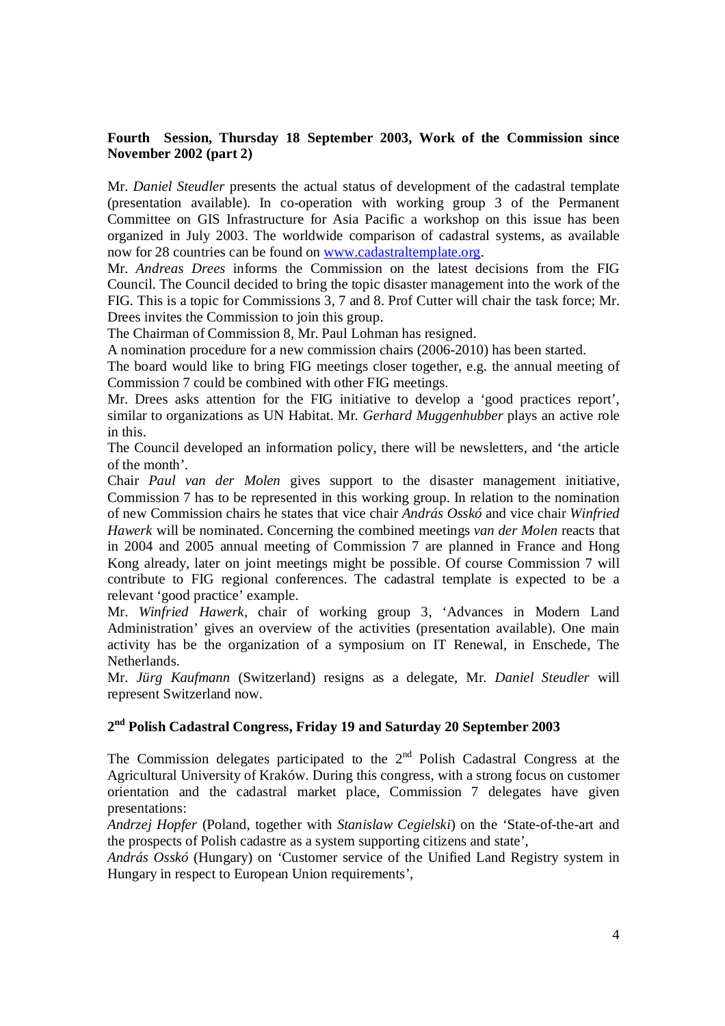# **Fourth Session, Thursday 18 September 2003, Work of the Commission since November 2002 (part 2)**

Mr. *Daniel Steudler* presents the actual status of development of the cadastral template (presentation available). In co-operation with working group 3 of the Permanent Committee on GIS Infrastructure for Asia Pacific a workshop on this issue has been organized in July 2003. The worldwide comparison of cadastral systems, as available now for 28 countries can be found on www.cadastraltemplate.org.

Mr. *Andreas Drees* informs the Commission on the latest decisions from the FIG Council. The Council decided to bring the topic disaster management into the work of the FIG. This is a topic for Commissions 3, 7 and 8. Prof Cutter will chair the task force; Mr. Drees invites the Commission to join this group.

The Chairman of Commission 8, Mr. Paul Lohman has resigned.

A nomination procedure for a new commission chairs (2006-2010) has been started.

The board would like to bring FIG meetings closer together, e.g. the annual meeting of Commission 7 could be combined with other FIG meetings.

Mr. Drees asks attention for the FIG initiative to develop a 'good practices report', similar to organizations as UN Habitat. Mr*. Gerhard Muggenhubber* plays an active role in this.

The Council developed an information policy, there will be newsletters, and 'the article of the month'.

Chair *Paul van der Molen* gives support to the disaster management initiative, Commission 7 has to be represented in this working group. In relation to the nomination of new Commission chairs he states that vice chair *András Osskó* and vice chair *Winfried Hawerk* will be nominated. Concerning the combined meetings *van der Molen* reacts that in 2004 and 2005 annual meeting of Commission 7 are planned in France and Hong Kong already, later on joint meetings might be possible. Of course Commission 7 will contribute to FIG regional conferences. The cadastral template is expected to be a relevant 'good practice' example.

Mr. *Winfried Hawerk*, chair of working group 3, 'Advances in Modern Land Administration' gives an overview of the activities (presentation available). One main activity has be the organization of a symposium on IT Renewal, in Enschede, The Netherlands.

Mr. *Jürg Kaufmann* (Switzerland) resigns as a delegate, Mr. *Daniel Steudler* will represent Switzerland now.

# **2nd Polish Cadastral Congress, Friday 19 and Saturday 20 September 2003**

The Commission delegates participated to the  $2<sup>nd</sup>$  Polish Cadastral Congress at the Agricultural University of Kraków. During this congress, with a strong focus on customer orientation and the cadastral market place, Commission 7 delegates have given presentations:

*Andrzej Hopfer* (Poland, together with *Stanislaw Cegielski*) on the 'State-of-the-art and the prospects of Polish cadastre as a system supporting citizens and state',

*András Osskó* (Hungary) on 'Customer service of the Unified Land Registry system in Hungary in respect to European Union requirements',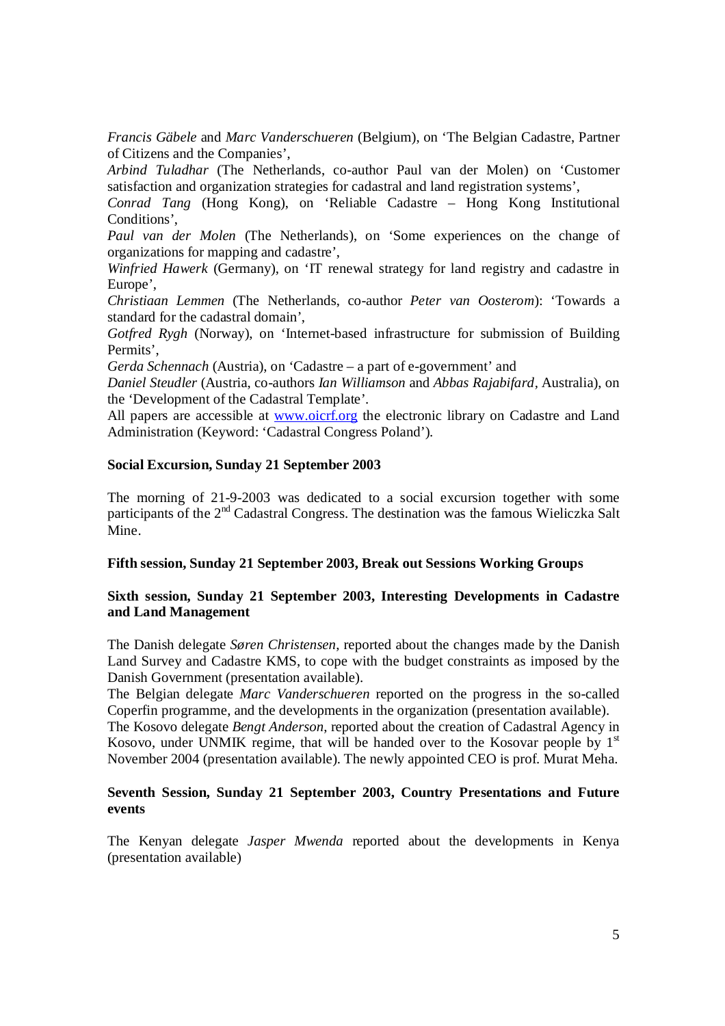*Francis Gäbele* and *Marc Vanderschueren* (Belgium), on 'The Belgian Cadastre, Partner of Citizens and the Companies',

*Arbind Tuladhar* (The Netherlands, co-author Paul van der Molen) on 'Customer satisfaction and organization strategies for cadastral and land registration systems',

*Conrad Tang* (Hong Kong), on 'Reliable Cadastre – Hong Kong Institutional Conditions',

*Paul van der Molen* (The Netherlands), on 'Some experiences on the change of organizations for mapping and cadastre',

*Winfried Hawerk* (Germany), on 'IT renewal strategy for land registry and cadastre in Europe',

*Christiaan Lemmen* (The Netherlands, co-author *Peter van Oosterom*): 'Towards a standard for the cadastral domain',

*Gotfred Rygh* (Norway), on 'Internet-based infrastructure for submission of Building Permits',

*Gerda Schennach* (Austria), on 'Cadastre – a part of e-government' and

*Daniel Steudler* (Austria, co-authors *Ian Williamson* and *Abbas Rajabifard,* Australia), on the 'Development of the Cadastral Template'.

All papers are accessible at www.oicrf.org the electronic library on Cadastre and Land Administration (Keyword: 'Cadastral Congress Poland').

### **Social Excursion, Sunday 21 September 2003**

The morning of 21-9-2003 was dedicated to a social excursion together with some participants of the 2<sup>nd</sup> Cadastral Congress. The destination was the famous Wieliczka Salt Mine.

### **Fifth session, Sunday 21 September 2003, Break out Sessions Working Groups**

# **Sixth session, Sunday 21 September 2003, Interesting Developments in Cadastre and Land Management**

The Danish delegate *Søren Christensen*, reported about the changes made by the Danish Land Survey and Cadastre KMS, to cope with the budget constraints as imposed by the Danish Government (presentation available).

The Belgian delegate *Marc Vanderschueren* reported on the progress in the so-called Coperfin programme, and the developments in the organization (presentation available).

The Kosovo delegate *Bengt Anderson*, reported about the creation of Cadastral Agency in Kosovo, under UNMIK regime, that will be handed over to the Kosovar people by  $1<sup>st</sup>$ November 2004 (presentation available). The newly appointed CEO is prof. Murat Meha.

### **Seventh Session, Sunday 21 September 2003, Country Presentations and Future events**

The Kenyan delegate *Jasper Mwenda* reported about the developments in Kenya (presentation available)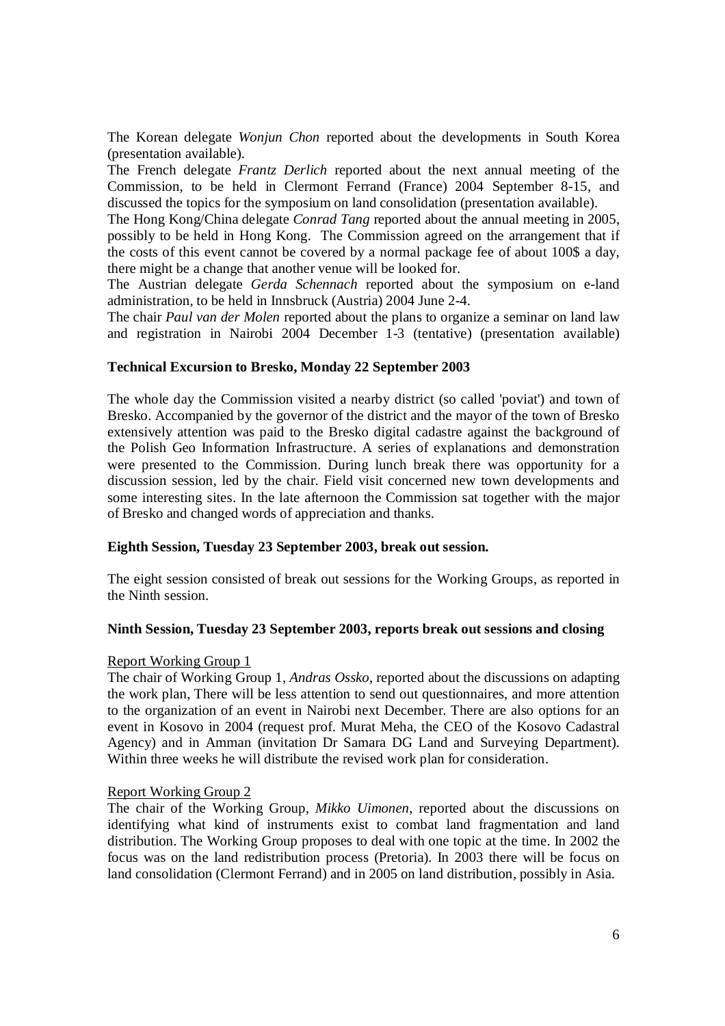The Korean delegate *Wonjun Chon* reported about the developments in South Korea (presentation available).

The French delegate *Frantz Derlich* reported about the next annual meeting of the Commission, to be held in Clermont Ferrand (France) 2004 September 8-15, and discussed the topics for the symposium on land consolidation (presentation available).

The Hong Kong/China delegate *Conrad Tang* reported about the annual meeting in 2005, possibly to be held in Hong Kong. The Commission agreed on the arrangement that if the costs of this event cannot be covered by a normal package fee of about 100\$ a day, there might be a change that another venue will be looked for.

The Austrian delegate *Gerda Schennach* reported about the symposium on e-land administration, to be held in Innsbruck (Austria) 2004 June 2-4.

The chair *Paul van der Molen* reported about the plans to organize a seminar on land law and registration in Nairobi 2004 December 1-3 (tentative) (presentation available)

### **Technical Excursion to Bresko, Monday 22 September 2003**

The whole day the Commission visited a nearby district (so called 'poviat') and town of Bresko. Accompanied by the governor of the district and the mayor of the town of Bresko extensively attention was paid to the Bresko digital cadastre against the background of the Polish Geo Information Infrastructure. A series of explanations and demonstration were presented to the Commission. During lunch break there was opportunity for a discussion session, led by the chair. Field visit concerned new town developments and some interesting sites. In the late afternoon the Commission sat together with the major of Bresko and changed words of appreciation and thanks.

### **Eighth Session, Tuesday 23 September 2003, break out session.**

The eight session consisted of break out sessions for the Working Groups, as reported in the Ninth session.

### **Ninth Session, Tuesday 23 September 2003, reports break out sessions and closing**

### Report Working Group 1

The chair of Working Group 1, *Andras Ossko*, reported about the discussions on adapting the work plan, There will be less attention to send out questionnaires, and more attention to the organization of an event in Nairobi next December. There are also options for an event in Kosovo in 2004 (request prof. Murat Meha, the CEO of the Kosovo Cadastral Agency) and in Amman (invitation Dr Samara DG Land and Surveying Department). Within three weeks he will distribute the revised work plan for consideration.

### Report Working Group 2

The chair of the Working Group*, Mikko Uimonen*, reported about the discussions on identifying what kind of instruments exist to combat land fragmentation and land distribution. The Working Group proposes to deal with one topic at the time. In 2002 the focus was on the land redistribution process (Pretoria). In 2003 there will be focus on land consolidation (Clermont Ferrand) and in 2005 on land distribution, possibly in Asia.